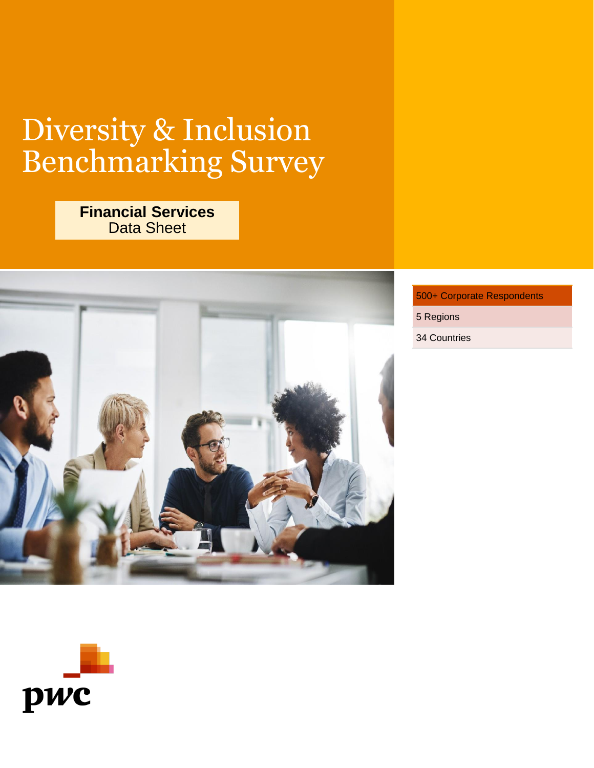# Diversity & Inclusion Benchmarking Survey

# **Financial Services** Data Sheet



### 500+ Corporate Respondents

5 Regions

34 Countries

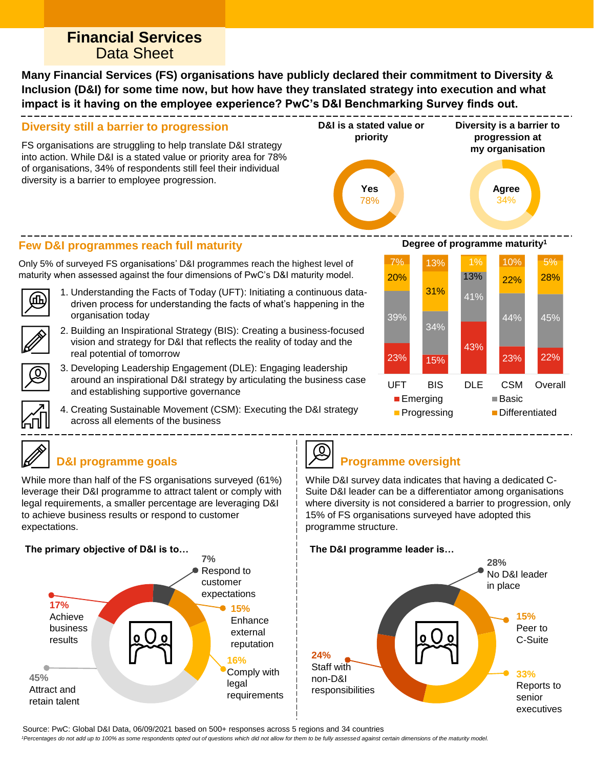# **Financial Services** Data Sheet

**Many Financial Services (FS) organisations have publicly declared their commitment to Diversity & Inclusion (D&I) for some time now, but how have they translated strategy into execution and what impact is it having on the employee experience? PwC's D&I Benchmarking Survey finds out.**

#### **Diversity still a barrier to progression**

FS organisations are struggling to help translate D&I strategy into action. While D&I is a stated value or priority area for 78% of organisations, 34% of respondents still feel their individual diversity is a barrier to employee progression.



### **Few D&I programmes reach full maturity**

Only 5% of surveyed FS organisations' D&I programmes reach the highest level of maturity when assessed against the four dimensions of PwC's D&I maturity model.

- 
- 1. Understanding the Facts of Today (UFT): Initiating a continuous datadriven process for understanding the facts of what's happening in the organisation today
- 2. Building an Inspirational Strategy (BIS): Creating a business-focused vision and strategy for D&I that reflects the reality of today and the real potential of tomorrow
- 3. Developing Leadership Engagement (DLE): Engaging leadership around an inspirational D&I strategy by articulating the business case and establishing supportive governance
	- 4. Creating Sustainable Movement (CSM): Executing the D&I strategy across all elements of the business



# **D&I programme goals**

While more than half of the FS organisations surveyed (61%) leverage their D&I programme to attract talent or comply with legal requirements, a smaller percentage are leveraging D&I to achieve business results or respond to customer expectations.

#### **The primary objective of D&I is to…**





# **Programme oversight**

While D&I survey data indicates that having a dedicated C-Suite D&I leader can be a differentiator among organisations where diversity is not considered a barrier to progression, only 15% of FS organisations surveyed have adopted this programme structure.

#### **The D&I programme leader is…**



Source: PwC: Global D&I Data, 06/09/2021 based on 500+ responses across 5 regions and 34 countries

*1Percentages do not add up to 100% as some respondents opted out of questions which did not allow for them to be fully assessed against certain dimensions of the maturity model.*

**Degree of programme maturity<sup>1</sup>**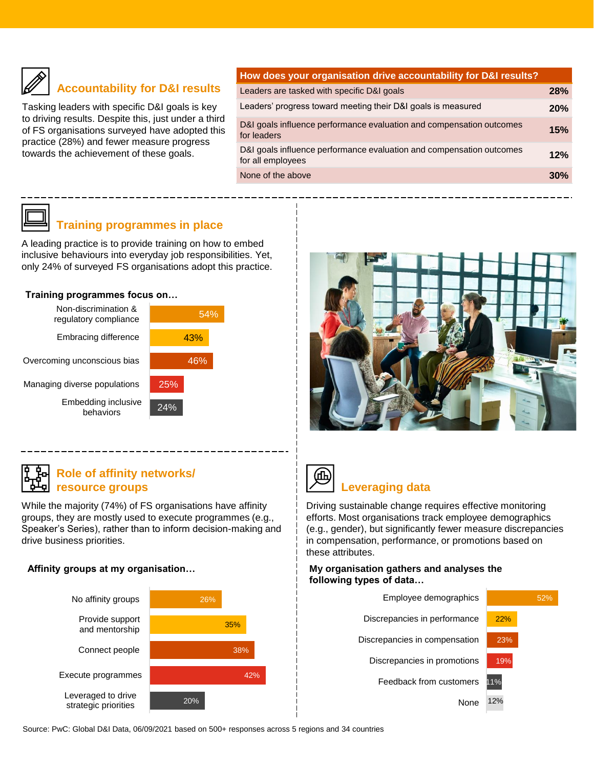

# **Accountability for D&I results**

Tasking leaders with specific D&I goals is key to driving results. Despite this, just under a third of FS organisations surveyed have adopted this practice (28%) and fewer measure progress towards the achievement of these goals.

# **How does your organisation drive accountability for D&I results?** Leaders are tasked with specific D&I goals **28%** Leaders' progress toward meeting their D&I goals is measured **20%** D&I goals influence performance evaluation and compensation outcomes for leaders **15%** D&I goals influence performance evaluation and compensation outcomes for all employees **12%** None of the above **30% 30%**

### **Training programmes in place**

A leading practice is to provide training on how to embed inclusive behaviours into everyday job responsibilities. Yet, only 24% of surveyed FS organisations adopt this practice.

#### **Training programmes focus on…**



### **Role of affinity networks/ resource groups**

While the majority (74%) of FS organisations have affinity groups, they are mostly used to execute programmes (e.g., Speaker's Series), rather than to inform decision-making and drive business priorities.

#### **Affinity groups at my organisation…**







### **Leveraging data**

Driving sustainable change requires effective monitoring efforts. Most organisations track employee demographics (e.g., gender), but significantly fewer measure discrepancies in compensation, performance, or promotions based on these attributes.

#### **My organisation gathers and analyses the following types of data…**



Source: PwC: Global D&I Data, 06/09/2021 based on 500+ responses across 5 regions and 34 countries